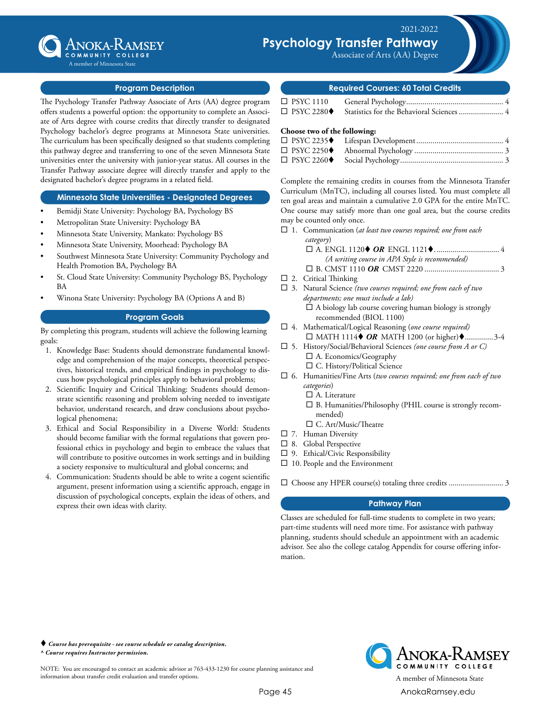

## Associate of Science Degree A member of Minnesota State

## **Program Description**

The Psychology Transfer Pathway Associate of Arts (AA) degree program offers students a powerful option: the opportunity to complete an Associate of Arts degree with course credits that directly transfer to designated Psychology bachelor's degree programs at Minnesota State universities. The curriculum has been specifically designed so that students completing this pathway degree and transferring to one of the seven Minnesota State universities enter the university with junior-year status. All courses in the Transfer Pathway associate degree will directly transfer and apply to the designated bachelor's degree programs in a related field.

## **Minnesota State Universities - Designated Degrees**

- Bemidji State University: Psychology BA, Psychology BS
- Metropolitan State University: Psychology BA
- Minnesota State University, Mankato: Psychology BS
- Minnesota State University, Moorhead: Psychology BA
- Southwest Minnesota State University: Community Psychology and Health Promotion BA, Psychology BA
- St. Cloud State University: Community Psychology BS, Psychology BA
- Winona State University: Psychology BA (Options A and B)

### **Program Goals**

By completing this program, students will achieve the following learning goals:

- 1. Knowledge Base: Students should demonstrate fundamental knowledge and comprehension of the major concepts, theoretical perspectives, historical trends, and empirical findings in psychology to discuss how psychological principles apply to behavioral problems;
- 2. Scientific Inquiry and Critical Thinking: Students should demonstrate scientific reasoning and problem solving needed to investigate behavior, understand research, and draw conclusions about psychological phenomena;
- 3. Ethical and Social Responsibility in a Diverse World: Students should become familiar with the formal regulations that govern professional ethics in psychology and begin to embrace the values that will contribute to positive outcomes in work settings and in building a society responsive to multicultural and global concerns; and
- 4. Communication: Students should be able to write a cogent scientific argument, present information using a scientific approach, engage in discussion of psychological concepts, explain the ideas of others, and express their own ideas with clarity.

#### **Required Courses: 60 Total Credits**

Associate of Arts (AA) Degree Total Credits ................................0

Psychology Transfer Pathway

| $\Box$ PSYC 1110                 |  |
|----------------------------------|--|
| $\Box$ PSYC 2280 $\blacklozenge$ |  |

#### **Choose two of the following:**

| $\Box$ PSYC 2250 $\blacklozenge$ |  |
|----------------------------------|--|
| $\Box$ PSYC 2260 $\blacklozenge$ |  |

Complete the remaining credits in courses from the Minnesota Transfer Curriculum (MnTC), including all courses listed. You must complete all ten goal areas and maintain a cumulative 2.0 GPA for the entire MnTC. One course may satisfy more than one goal area, but the course credits may be counted only once.

- □ 1. Communication (*at least two courses required; one from each category*) ¨ A. ENGL 1120t *OR* ENGL 1121t................................. 4  *(A writing course in APA Style is recommended)*
	- ¨ B. CMST 1110 *OR* CMST 2220...................................... 3
- $\square$  2. Critical Thinking
- □ 3. Natural Science (two courses required; one from each of two *departments; one must include a lab)*  $\Box$  A biology lab course covering human biology is strongly recommended (BIOL 1100)
- □ 4. Mathematical/Logical Reasoning (one course required)  $\Box$  MATH 1114 $\blacklozenge$  *OR* MATH 1200 (or higher) $\blacklozenge$ ...............3-4
- □ 5. History/Social/Behavioral Sciences *(one course from A or C)* □ A. Economics/Geography
	- □ C. History/Political Science
- ¨ 6. Humanities/Fine Arts (*two courses required; one from each of two categories*)
	- $\Box$  A. Literature
	- $\square$  B. Humanities/Philosophy (PHIL course is strongly recommended)
	- $\square$  C. Art/Music/Theatre
- $\square$  7. Human Diversity
- $\square$  8. Global Perspective
- $\square$  9. Ethical/Civic Responsibility
- $\Box$  10. People and the Environment
- ¨ Choose any HPER course(s) totaling three credits............................ 3

## **Pathway Plan**

Classes are scheduled for full-time students to complete in two years; part-time students will need more time. For assistance with pathway planning, students should schedule an appointment with an academic advisor. See also the college catalog Appendix for course offering information.

 *Course has prerequisite - see course schedule or catalog description. ^ Course requires Instructor permission.*

NOTE: You are encouraged to contact an academic advisor at 763-433-1230 for course planning assistance and information about transfer credit evaluation and transfer options. A member of Minnesota State



ANOKA-KAMSEY COMMUNITY COLLEGE